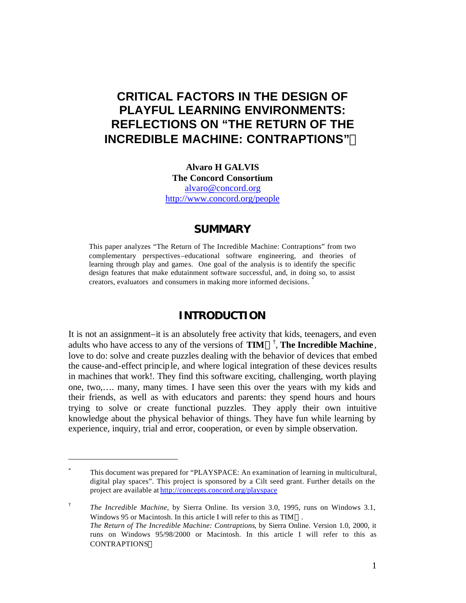# **CRITICAL FACTORS IN THE DESIGN OF PLAYFUL LEARNING ENVIRONMENTS: REFLECTIONS ON "THE RETURN OF THE INCREDIBLE MACHINE: CONTRAPTIONS"Ô**

**Alvaro H GALVIS The Concord Consortium** alvaro@concord.org http://www.concord.org/people

# **SUMMARY**

This paper analyzes "The Return of The Incredible Machine: Contraptions" from two complementary perspectives–educational software engineering, and theories of learning through play and games. One goal of the analysis is to identify the specific design features that make edutainment software successful, and, in doing so, to assist creators, evaluators and consumers in making more informed decisions. \*

# **INTRODUCTION**

It is not an assignment–it is an absolutely free activity that kids, teenagers, and even adults who have access to any of the versions of **TIM<sup>TM†</sup>**, **The Incredible Machine**, love to do: solve and create puzzles dealing with the behavior of devices that embed the cause-and-effect principle, and where logical integration of these devices results in machines that work!. They find this software exciting, challenging, worth playing one, two,…. many, many times. I have seen this over the years with my kids and their friends, as well as with educators and parents: they spend hours and hours trying to solve or create functional puzzles. They apply their own intuitive knowledge about the physical behavior of things. They have fun while learning by experience, inquiry, trial and error, cooperation, or even by simple observation.

 $\overline{a}$ 

<sup>\*</sup> This document was prepared for "PLAYSPACE: An examination of learning in multicultural, digital play spaces". This project is sponsored by a Cilt seed grant. Further details on the project are available at http://concepts.concord.org/playspace

<sup>†</sup> *The Incredible Machine*, by Sierra Online. Its version 3.0, 1995, runs on Windows 3.1, Windows 95 or Macintosh. In this article I will refer to this as  $TIM^{TM}$ . *The Return of The Incredible Machine: Contraptions*, by Sierra Online. Version 1.0, 2000, it runs on Windows 95/98/2000 or Macintosh. In this article I will refer to this as **CONTRAPTIONSTM**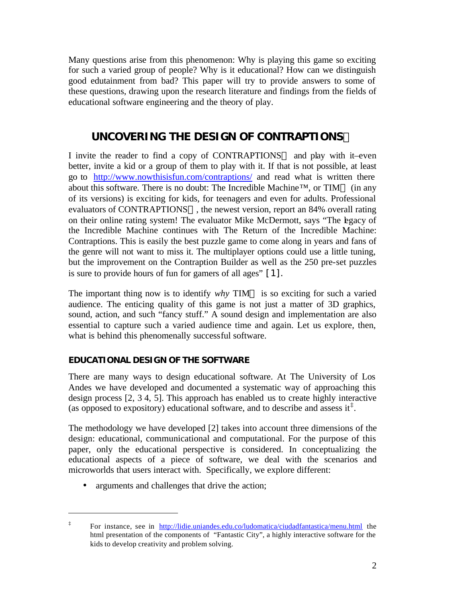Many questions arise from this phenomenon: Why is playing this game so exciting for such a varied group of people? Why is it educational? How can we distinguish good edutainment from bad? This paper will try to provide answers to some of these questions, drawing upon the research literature and findings from the fields of educational software engineering and the theory of play.

# **UNCOVERING THE DESIGN OF CONTRAPTIONSÔ**

I invite the reader to find a copy of CONTRAPTIONS<sup>TM</sup> and play with it–even better, invite a kid or a group of them to play with it. If that is not possible, at least go to http://www.nowthisisfun.com/contraptions/ and read what is written there about this software. There is no doubt: The Incredible Machine<sup>TM</sup>, or TIM<sup>TM</sup> (in any of its versions) is exciting for kids, for teenagers and even for adults. Professional evaluators of CONTRAPTIONS<sup>TM</sup>, the newest version, report an 84% overall rating on their online rating system! The evaluator Mike McDermott, says "The legacy of the Incredible Machine continues with The Return of the Incredible Machine: Contraptions. This is easily the best puzzle game to come along in years and fans of the genre will not want to miss it. The multiplayer options could use a little tuning, but the improvement on the Contraption Builder as well as the 250 pre-set puzzles is sure to provide hours of fun for gamers of all ages" [1].

The important thing now is to identify  $why$  TIM<sup>TM</sup> is so exciting for such a varied audience. The enticing quality of this game is not just a matter of 3D graphics, sound, action, and such "fancy stuff." A sound design and implementation are also essential to capture such a varied audience time and again. Let us explore, then, what is behind this phenomenally successful software.

# **EDUCATIONAL DESIGN OF THE SOFTWARE**

There are many ways to design educational software. At The University of Los Andes we have developed and documented a systematic way of approaching this design process [2, 3 4, 5]. This approach has enabled us to create highly interactive (as opposed to expository) educational software, and to describe and assess it<sup> $\ddagger$ </sup>.

The methodology we have developed [2] takes into account three dimensions of the design: educational, communicational and computational. For the purpose of this paper, only the educational perspective is considered. In conceptualizing the educational aspects of a piece of software, we deal with the scenarios and microworlds that users interact with. Specifically, we explore different:

• arguments and challenges that drive the action;

 $\overline{a}$ 

<sup>‡</sup> For instance, see in http://lidie.uniandes.edu.co/ludomatica/ciudadfantastica/menu.html the html presentation of the components of "Fantastic City", a highly interactive software for the kids to develop creativity and problem solving.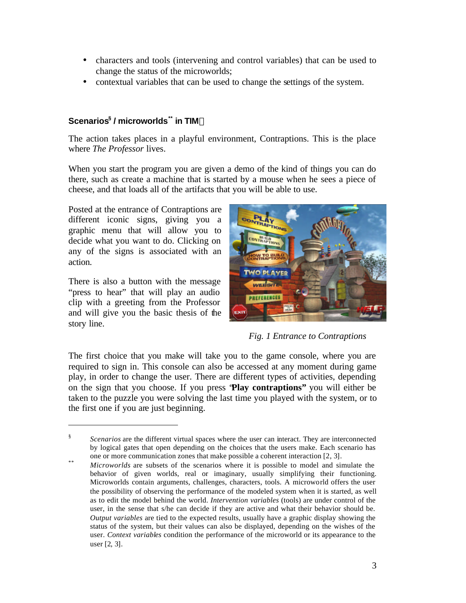- characters and tools (intervening and control variables) that can be used to change the status of the microworlds;
- contextual variables that can be used to change the settings of the system.

# **Scenarios§ / microworlds\*\* in TIMÔ**

The action takes places in a playful environment, Contraptions. This is the place where *The Professor* lives.

When you start the program you are given a demo of the kind of things you can do there, such as create a machine that is started by a mouse when he sees a piece of cheese, and that loads all of the artifacts that you will be able to use.

Posted at the entrance of Contraptions are different iconic signs, giving you a graphic menu that will allow you to decide what you want to do. Clicking on any of the signs is associated with an action.

There is also a button with the message "press to hear" that will play an audio clip with a greeting from the Professor and will give you the basic thesis of the story line.

 $\overline{a}$ 



*Fig. 1 Entrance to Contraptions*

The first choice that you make will take you to the game console, where you are required to sign in. This console can also be accessed at any moment during game play, in order to change the user. There are different types of activities, depending on the sign that you choose. If you press "**Play contraptions"** you will either be taken to the puzzle you were solving the last time you played with the system, or to the first one if you are just beginning.

<sup>§</sup> *Scenarios* are the different virtual spaces where the user can interact. They are interconnected by logical gates that open depending on the choices that the users make. Each scenario has one or more communication zones that make possible a coherent interaction [2, 3].

<sup>\*\*</sup> *Microworlds* are subsets of the scenarios where it is possible to model and simulate the behavior of given worlds, real or imaginary, usually simplifying their functioning. Microworlds contain arguments, challenges, characters, tools. A microworld offers the user the possibility of observing the performance of the modeled system when it is started, as well as to edit the model behind the world. *Intervention variables* (tools) are under control of the user, in the sense that s/he can decide if they are active and what their behavior should be. *Output variables* are tied to the expected results, usually have a graphic display showing the status of the system, but their values can also be displayed, depending on the wishes of the user. *Context variables* condition the performance of the microworld or its appearance to the user [2, 3].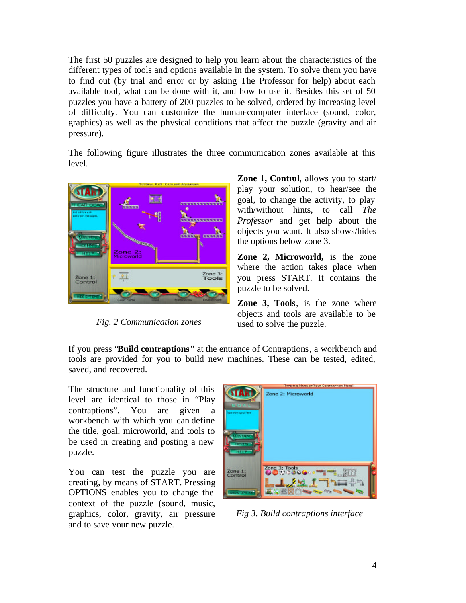The first 50 puzzles are designed to help you learn about the characteristics of the different types of tools and options available in the system. To solve them you have to find out (by trial and error or by asking The Professor for help) about each available tool, what can be done with it, and how to use it. Besides this set of 50 puzzles you have a battery of 200 puzzles to be solved, ordered by increasing level of difficulty. You can customize the human-computer interface (sound, color, graphics) as well as the physical conditions that affect the puzzle (gravity and air pressure).

The following figure illustrates the three communication zones available at this level.



*Fig. 2 Communication zones*

**Zone 1, Control**, allows you to start/ play your solution, to hear/see the goal, to change the activity, to play with/without hints, to call *The Professor* and get help about the objects you want. It also shows/hides the options below zone 3.

**Zone 2, Microworld,** is the zone where the action takes place when you press START. It contains the puzzle to be solved.

**Zone 3, Tools**, is the zone where objects and tools are available to be used to solve the puzzle.

If you press "**Build contraptions** " at the entrance of Contraptions, a workbench and tools are provided for you to build new machines. These can be tested, edited, saved, and recovered.

The structure and functionality of this level are identical to those in "Play contraptions". You are given a workbench with which you can define the title, goal, microworld, and tools to be used in creating and posting a new puzzle.

You can test the puzzle you are creating, by means of START. Pressing OPTIONS enables you to change the context of the puzzle (sound, music, graphics, color, gravity, air pressure and to save your new puzzle.



*Fig 3. Build contraptions interface*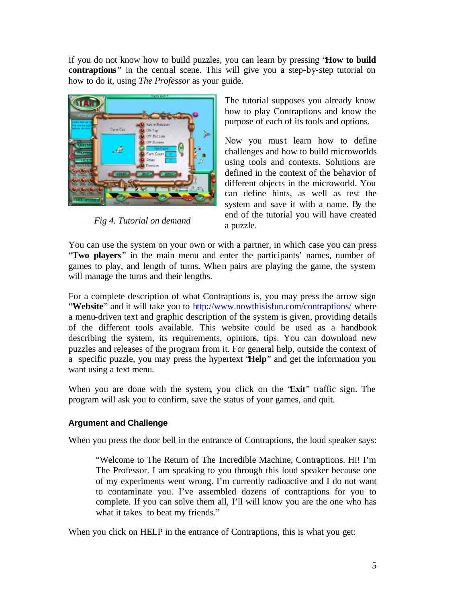If you do not know how to build puzzles, you can learn by pressing "**How to build contraptions**" in the central scene. This will give you a step-by-step tutorial on how to do it, using *The Professor* as your guide.



*Fig 4. Tutorial on demand*

The tutorial supposes you already know how to play Contraptions and know the purpose of each of its tools and options.

Now you must learn how to define challenges and how to build microworlds using tools and contexts. Solutions are defined in the context of the behavior of different objects in the microworld. You can define hints, as well as test the system and save it with a name. By the end of the tutorial you will have created a puzzle.

You can use the system on your own or with a partner, in which case you can press "**Two players**" in the main menu and enter the participants' names, number of games to play, and length of turns. When pairs are playing the game, the system will manage the turns and their lengths.

For a complete description of what Contraptions is, you may press the arrow sign "**Website**" and it will take you to http://www.nowthisisfun.com/contraptions/ where a menu-driven text and graphic description of the system is given, providing details of the different tools available. This website could be used as a handbook describing the system, its requirements, opinions, tips. You can download new puzzles and releases of the program from it. For general help, outside the context of a specific puzzle, you may press the hypertext "**Help**" and get the information you want using a text menu.

When you are done with the system, you click on the "**Exit**" traffic sign. The program will ask you to confirm, save the status of your games, and quit.

# **Argument and Challenge**

When you press the door bell in the entrance of Contraptions, the loud speaker says:

"Welcome to The Return of The Incredible Machine, Contraptions. Hi! I'm The Professor. I am speaking to you through this loud speaker because one of my experiments went wrong. I'm currently radioactive and I do not want to contaminate you. I've assembled dozens of contraptions for you to complete. If you can solve them all, I'll will know you are the one who has what it takes to beat my friends."

When you click on HELP in the entrance of Contraptions, this is what you get: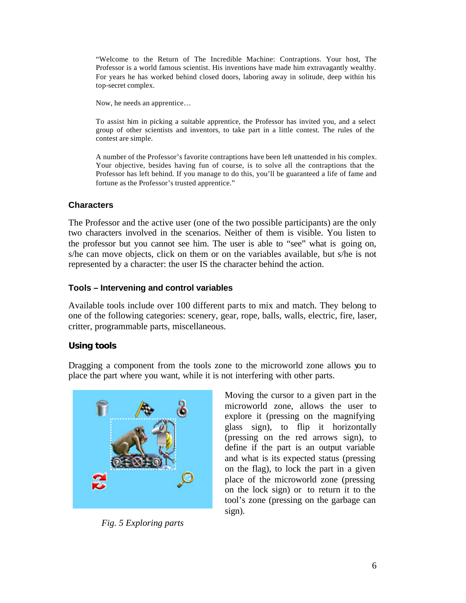"Welcome to the Return of The Incredible Machine: Contraptions. Your host, The Professor is a world famous scientist. His inventions have made him extravagantly wealthy. For years he has worked behind closed doors, laboring away in solitude, deep within his top-secret complex.

Now, he needs an apprentice…

To assist him in picking a suitable apprentice, the Professor has invited you, and a select group of other scientists and inventors, to take part in a little contest. The rules of the contest are simple.

A number of the Professor's favorite contraptions have been left unattended in his complex. Your objective, besides having fun of course, is to solve all the contraptions that the Professor has left behind. If you manage to do this, you'll be guaranteed a life of fame and fortune as the Professor's trusted apprentice."

# **Characters**

The Professor and the active user (one of the two possible participants) are the only two characters involved in the scenarios. Neither of them is visible. You listen to the professor but you cannot see him. The user is able to "see" what is going on, s/he can move objects, click on them or on the variables available, but s/he is not represented by a character: the user IS the character behind the action.

## **Tools – Intervening and control variables**

Available tools include over 100 different parts to mix and match. They belong to one of the following categories: scenery, gear, rope, balls, walls, electric, fire, laser, critter, programmable parts, miscellaneous.

# **Using tools**

Dragging a component from the tools zone to the microworld zone allows you to place the part where you want, while it is not interfering with other parts.



*Fig. 5 Exploring parts*

Moving the cursor to a given part in the microworld zone, allows the user to explore it (pressing on the magnifying glass sign), to flip it horizontally (pressing on the red arrows sign), to define if the part is an output variable and what is its expected status (pressing on the flag), to lock the part in a given place of the microworld zone (pressing on the lock sign) or to return it to the tool's zone (pressing on the garbage can sign).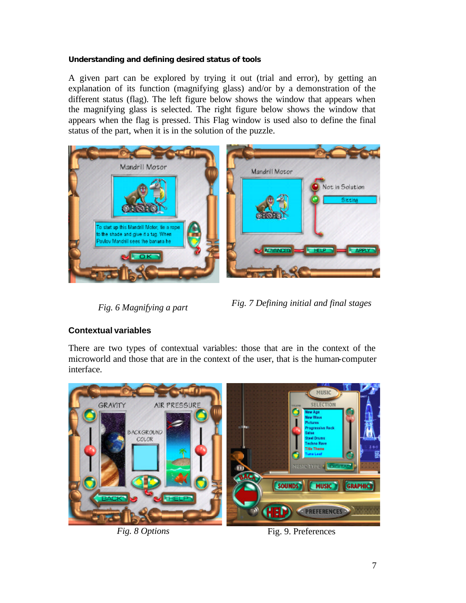### **Understanding and defining desired status of tools**

A given part can be explored by trying it out (trial and error), by getting an explanation of its function (magnifying glass) and/or by a demonstration of the different status (flag). The left figure below shows the window that appears when the magnifying glass is selected. The right figure below shows the window that appears when the flag is pressed. This Flag window is used also to define the final status of the part, when it is in the solution of the puzzle.



*Fig. 6 Magnifying a part Fig. 7 Defining initial and final stages*

# **Contextual variables**

There are two types of contextual variables: those that are in the context of the microworld and those that are in the context of the user, that is the human-computer interface.



*Fig. 8 Options* Fig. 9. Preferences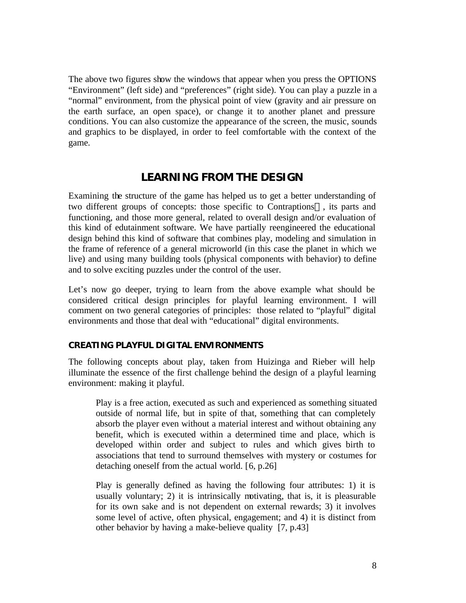The above two figures show the windows that appear when you press the OPTIONS "Environment" (left side) and "preferences" (right side). You can play a puzzle in a "normal" environment, from the physical point of view (gravity and air pressure on the earth surface, an open space), or change it to another planet and pressure conditions. You can also customize the appearance of the screen, the music, sounds and graphics to be displayed, in order to feel comfortable with the context of the game.

# **LEARNING FROM THE DESIGN**

Examining the structure of the game has helped us to get a better understanding of two different groups of concepts: those specific to Contraptions<sup>TM</sup>, its parts and functioning, and those more general, related to overall design and/or evaluation of this kind of edutainment software. We have partially reengineered the educational design behind this kind of software that combines play, modeling and simulation in the frame of reference of a general microworld (in this case the planet in which we live) and using many building tools (physical components with behavior) to define and to solve exciting puzzles under the control of the user.

Let's now go deeper, trying to learn from the above example what should be considered critical design principles for playful learning environment. I will comment on two general categories of principles: those related to "playful" digital environments and those that deal with "educational" digital environments.

#### **CREATING PLAYFUL DIGITAL ENVIRONMENTS**

The following concepts about play, taken from Huizinga and Rieber will help illuminate the essence of the first challenge behind the design of a playful learning environment: making it playful.

Play is a free action, executed as such and experienced as something situated outside of normal life, but in spite of that, something that can completely absorb the player even without a material interest and without obtaining any benefit, which is executed within a determined time and place, which is developed within order and subject to rules and which gives birth to associations that tend to surround themselves with mystery or costumes for detaching oneself from the actual world. [6, p.26]

Play is generally defined as having the following four attributes: 1) it is usually voluntary; 2) it is intrinsically motivating, that is, it is pleasurable for its own sake and is not dependent on external rewards; 3) it involves some level of active, often physical, engagement; and 4) it is distinct from other behavior by having a make-believe quality [7, p.43]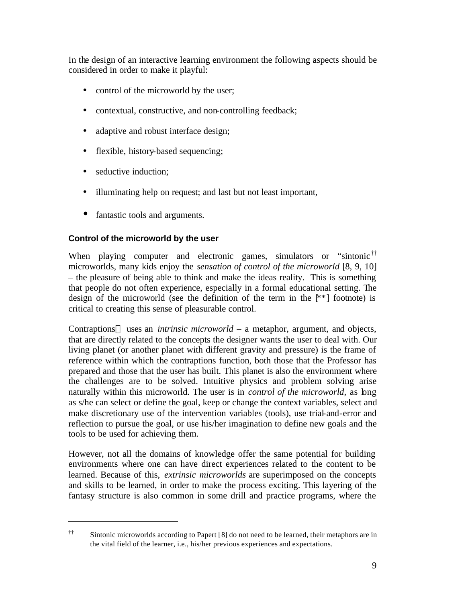In the design of an interactive learning environment the following aspects should be considered in order to make it playful:

- control of the microworld by the user;
- contextual, constructive, and non-controlling feedback;
- adaptive and robust interface design;
- flexible, history-based sequencing;
- seductive induction;

 $\overline{a}$ 

- illuminating help on request; and last but not least important,
- fantastic tools and arguments.

# **Control of the microworld by the user**

When playing computer and electronic games, simulators or "sintonic<sup>††</sup> microworlds, many kids enjoy the *sensation of control of the microworld* [8, 9, 10] – the pleasure of being able to think and make the ideas reality. This is something that people do not often experience, especially in a formal educational setting. The design of the microworld (see the definition of the term in the  $[**]$  footnote) is critical to creating this sense of pleasurable control.

Contraptions<sup>TM</sup> uses an *intrinsic microworld* – a metaphor, argument, and objects, that are directly related to the concepts the designer wants the user to deal with. Our living planet (or another planet with different gravity and pressure) is the frame of reference within which the contraptions function, both those that the Professor has prepared and those that the user has built. This planet is also the environment where the challenges are to be solved. Intuitive physics and problem solving arise naturally within this microworld. The user is in *control of the microworld*, as long as s/he can select or define the goal, keep or change the context variables, select and make discretionary use of the intervention variables (tools), use trial-and-error and reflection to pursue the goal, or use his/her imagination to define new goals and the tools to be used for achieving them.

However, not all the domains of knowledge offer the same potential for building environments where one can have direct experiences related to the content to be learned. Because of this, *extrinsic microworlds* are superimposed on the concepts and skills to be learned, in order to make the process exciting. This layering of the fantasy structure is also common in some drill and practice programs, where the

<sup>††</sup> Sintonic microworlds according to Papert [8] do not need to be learned, their metaphors are in the vital field of the learner, i.e., his/her previous experiences and expectations.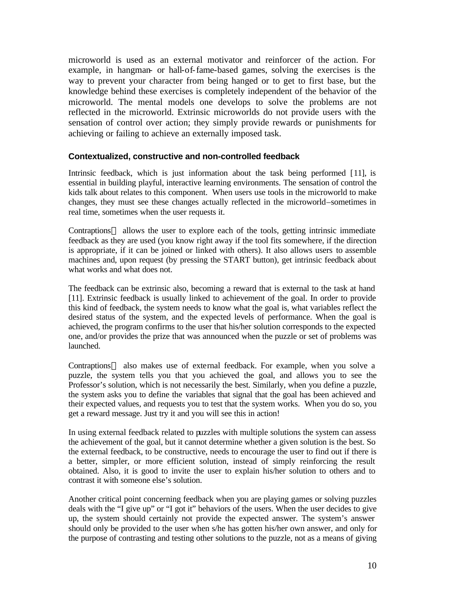microworld is used as an external motivator and reinforcer of the action. For example, in hangman- or hall-of-fame-based games, solving the exercises is the way to prevent your character from being hanged or to get to first base, but the knowledge behind these exercises is completely independent of the behavior of the microworld. The mental models one develops to solve the problems are not reflected in the microworld. Extrinsic microworlds do not provide users with the sensation of control over action; they simply provide rewards or punishments for achieving or failing to achieve an externally imposed task.

#### **Contextualized, constructive and non-controlled feedback**

Intrinsic feedback, which is just information about the task being performed [11], is essential in building playful, interactive learning environments. The sensation of control the kids talk about relates to this component. When users use tools in the microworld to make changes, they must see these changes actually reflected in the microworld–sometimes in real time, sometimes when the user requests it.

Contraptions<sup> $TM$ </sup> allows the user to explore each of the tools, getting intrinsic immediate feedback as they are used (you know right away if the tool fits somewhere, if the direction is appropriate, if it can be joined or linked with others). It also allows users to assemble machines and, upon request (by pressing the START button), get intrinsic feedback about what works and what does not.

The feedback can be extrinsic also, becoming a reward that is external to the task at hand [11]. Extrinsic feedback is usually linked to achievement of the goal. In order to provide this kind of feedback, the system needs to know what the goal is, what variables reflect the desired status of the system, and the expected levels of performance. When the goal is achieved, the program confirms to the user that his/her solution corresponds to the expected one, and/or provides the prize that was announced when the puzzle or set of problems was launched.

Contraptions<sup> $TM$ </sup> also makes use of external feedback. For example, when you solve a puzzle, the system tells you that you achieved the goal, and allows you to see the Professor's solution, which is not necessarily the best. Similarly, when you define a puzzle, the system asks you to define the variables that signal that the goal has been achieved and their expected values, and requests you to test that the system works. When you do so, you get a reward message. Just try it and you will see this in action!

In using external feedback related to puzzles with multiple solutions the system can assess the achievement of the goal, but it cannot determine whether a given solution is the best. So the external feedback, to be constructive, needs to encourage the user to find out if there is a better, simpler, or more efficient solution, instead of simply reinforcing the result obtained. Also, it is good to invite the user to explain his/her solution to others and to contrast it with someone else's solution.

Another critical point concerning feedback when you are playing games or solving puzzles deals with the "I give up" or "I got it" behaviors of the users. When the user decides to give up, the system should certainly not provide the expected answer. The system's answer should only be provided to the user when s/he has gotten his/her own answer, and only for the purpose of contrasting and testing other solutions to the puzzle, not as a means of giving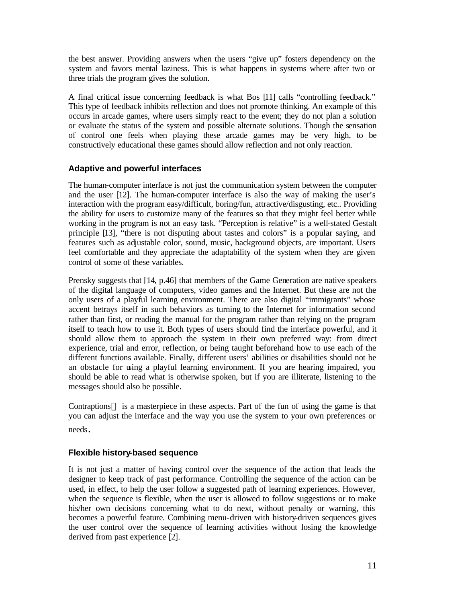the best answer. Providing answers when the users "give up" fosters dependency on the system and favors mental laziness. This is what happens in systems where after two or three trials the program gives the solution.

A final critical issue concerning feedback is what Bos [11] calls "controlling feedback." This type of feedback inhibits reflection and does not promote thinking. An example of this occurs in arcade games, where users simply react to the event; they do not plan a solution or evaluate the status of the system and possible alternate solutions. Though the sensation of control one feels when playing these arcade games may be very high, to be constructively educational these games should allow reflection and not only reaction.

#### **Adaptive and powerful interfaces**

The human-computer interface is not just the communication system between the computer and the user [12]. The human-computer interface is also the way of making the user's interaction with the program easy/difficult, boring/fun, attractive/disgusting, etc.. Providing the ability for users to customize many of the features so that they might feel better while working in the program is not an easy task. "Perception is relative" is a well-stated Gestalt principle [13], "there is not disputing about tastes and colors" is a popular saying, and features such as adjustable color, sound, music, background objects, are important. Users feel comfortable and they appreciate the adaptability of the system when they are given control of some of these variables.

Prensky suggests that [14, p.46] that members of the Game Generation are native speakers of the digital language of computers, video games and the Internet. But these are not the only users of a playful learning environment. There are also digital "immigrants" whose accent betrays itself in such behaviors as turning to the Internet for information second rather than first, or reading the manual for the program rather than relying on the program itself to teach how to use it. Both types of users should find the interface powerful, and it should allow them to approach the system in their own preferred way: from direct experience, trial and error, reflection, or being taught beforehand how to use each of the different functions available. Finally, different users' abilities or disabilities should not be an obstacle for using a playful learning environment. If you are hearing impaired, you should be able to read what is otherwise spoken, but if you are illiterate, listening to the messages should also be possible.

Contraptions<sup>TM</sup> is a masterpiece in these aspects. Part of the fun of using the game is that you can adjust the interface and the way you use the system to your own preferences or needs.

## **Flexible history-based sequence**

It is not just a matter of having control over the sequence of the action that leads the designer to keep track of past performance. Controlling the sequence of the action can be used, in effect, to help the user follow a suggested path of learning experiences. However, when the sequence is flexible, when the user is allowed to follow suggestions or to make his/her own decisions concerning what to do next, without penalty or warning, this becomes a powerful feature. Combining menu-driven with history-driven sequences gives the user control over the sequence of learning activities without losing the knowledge derived from past experience [2].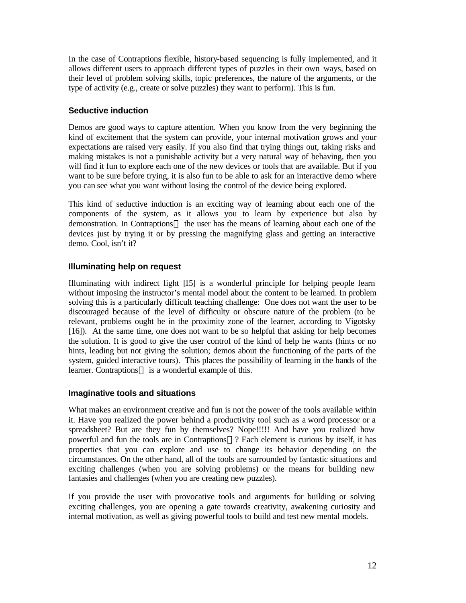In the case of Contraptions flexible, history-based sequencing is fully implemented, and it allows different users to approach different types of puzzles in their own ways, based on their level of problem solving skills, topic preferences, the nature of the arguments, or the type of activity (e.g., create or solve puzzles) they want to perform). This is fun.

## **Seductive induction**

Demos are good ways to capture attention. When you know from the very beginning the kind of excitement that the system can provide, your internal motivation grows and your expectations are raised very easily. If you also find that trying things out, taking risks and making mistakes is not a punishable activity but a very natural way of behaving, then you will find it fun to explore each one of the new devices or tools that are available. But if you want to be sure before trying, it is also fun to be able to ask for an interactive demo where you can see what you want without losing the control of the device being explored.

This kind of seductive induction is an exciting way of learning about each one of the components of the system, as it allows you to learn by experience but also by demonstration. In Contraptions<sup> $TM$ </sup> the user has the means of learning about each one of the devices just by trying it or by pressing the magnifying glass and getting an interactive demo. Cool, isn't it?

## **Illuminating help on request**

Illuminating with indirect light [15] is a wonderful principle for helping people learn without imposing the instructor's mental model about the content to be learned. In problem solving this is a particularly difficult teaching challenge: One does not want the user to be discouraged because of the level of difficulty or obscure nature of the problem (to be relevant, problems ought be in the proximity zone of the learner, according to Vigotsky [16]). At the same time, one does not want to be so helpful that asking for help becomes the solution. It is good to give the user control of the kind of help he wants (hints or no hints, leading but not giving the solution; demos about the functioning of the parts of the system, guided interactive tours). This places the possibility of learning in the hands of the learner. Contraptions<sup>TM</sup> is a wonderful example of this.

## **Imaginative tools and situations**

What makes an environment creative and fun is not the power of the tools available within it. Have you realized the power behind a productivity tool such as a word processor or a spreadsheet? But are they fun by themselves? Nope!!!!! And have you realized how powerful and fun the tools are in Contraptions<sup> $TM$ </sup>? Each element is curious by itself, it has properties that you can explore and use to change its behavior depending on the circumstances. On the other hand, all of the tools are surrounded by fantastic situations and exciting challenges (when you are solving problems) or the means for building new fantasies and challenges (when you are creating new puzzles).

If you provide the user with provocative tools and arguments for building or solving exciting challenges, you are opening a gate towards creativity, awakening curiosity and internal motivation, as well as giving powerful tools to build and test new mental models.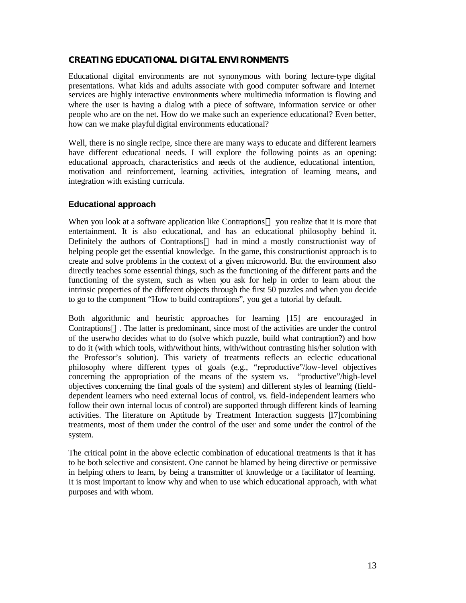#### **CREATING EDUCATIONAL DIGITAL ENVIRONMENTS**

Educational digital environments are not synonymous with boring lecture-type digital presentations. What kids and adults associate with good computer software and Internet services are highly interactive environments where multimedia information is flowing and where the user is having a dialog with a piece of software, information service or other people who are on the net. How do we make such an experience educational? Even better, how can we make playful digital environments educational?

Well, there is no single recipe, since there are many ways to educate and different learners have different educational needs. I will explore the following points as an opening: educational approach, characteristics and needs of the audience, educational intention, motivation and reinforcement, learning activities, integration of learning means, and integration with existing curricula.

#### **Educational approach**

When you look at a software application like Contraptions<sup>TM</sup> you realize that it is more that entertainment. It is also educational, and has an educational philosophy behind it. Definitely the authors of Contraptions<sup>TM</sup> had in mind a mostly constructionist way of helping people get the essential knowledge. In the game, this constructionist approach is to create and solve problems in the context of a given microworld. But the environment also directly teaches some essential things, such as the functioning of the different parts and the functioning of the system, such as when you ask for help in order to learn about the intrinsic properties of the different objects through the first 50 puzzles and when you decide to go to the component "How to build contraptions", you get a tutorial by default.

Both algorithmic and heuristic approaches for learning [15] are encouraged in Contraptions<sup> $TM$ </sup>. The latter is predominant, since most of the activities are under the control of the userwho decides what to do (solve which puzzle, build what contraption?) and how to do it (with which tools, with/without hints, with/without contrasting his/her solution with the Professor's solution). This variety of treatments reflects an eclectic educational philosophy where different types of goals (e.g., "reproductive"/low-level objectives concerning the appropriation of the means of the system vs. "productive"/high-level objectives concerning the final goals of the system) and different styles of learning (fielddependent learners who need external locus of control, vs. field-independent learners who follow their own internal locus of control) are supported through different kinds of learning activities. The literature on Aptitude by Treatment Interaction suggests [17]combining treatments, most of them under the control of the user and some under the control of the system.

The critical point in the above eclectic combination of educational treatments is that it has to be both selective and consistent. One cannot be blamed by being directive or permissive in helping others to learn, by being a transmitter of knowledge or a facilitator of learning. It is most important to know why and when to use which educational approach, with what purposes and with whom.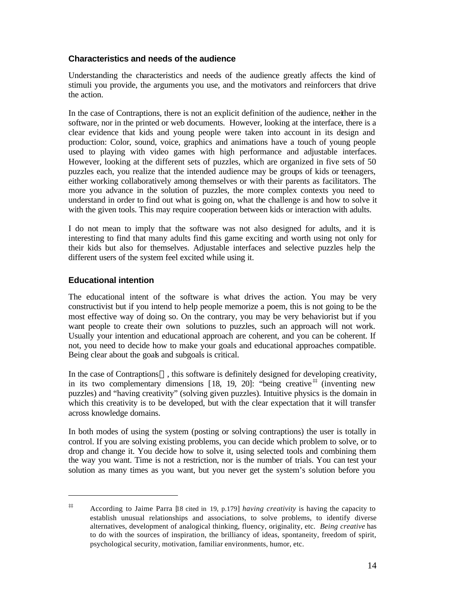## **Characteristics and needs of the audience**

Understanding the characteristics and needs of the audience greatly affects the kind of stimuli you provide, the arguments you use, and the motivators and reinforcers that drive the action.

In the case of Contraptions, there is not an explicit definition of the audience, neither in the software, nor in the printed or web documents. However, looking at the interface, there is a clear evidence that kids and young people were taken into account in its design and production: Color, sound, voice, graphics and animations have a touch of young people used to playing with video games with high performance and adjustable interfaces. However, looking at the different sets of puzzles, which are organized in five sets of 50 puzzles each, you realize that the intended audience may be groups of kids or teenagers, either working collaboratively among themselves or with their parents as facilitators. The more you advance in the solution of puzzles, the more complex contexts you need to understand in order to find out what is going on, what the challenge is and how to solve it with the given tools. This may require cooperation between kids or interaction with adults.

I do not mean to imply that the software was not also designed for adults, and it is interesting to find that many adults find this game exciting and worth using not only for their kids but also for themselves. Adjustable interfaces and selective puzzles help the different users of the system feel excited while using it.

#### **Educational intention**

 $\overline{a}$ 

The educational intent of the software is what drives the action. You may be very constructivist but if you intend to help people memorize a poem, this is not going to be the most effective way of doing so. On the contrary, you may be very behaviorist but if you want people to create their own solutions to puzzles, such an approach will not work. Usually your intention and educational approach are coherent, and you can be coherent. If not, you need to decide how to make your goals and educational approaches compatible. Being clear about the goals and subgoals is critical.

In the case of Contraptions<sup>TM</sup>, this software is definitely designed for developing creativity, in its two complementary dimensions  $[18, 19, 20]$ : "being creative  $\sharp$ " (inventing new puzzles) and "having creativity" (solving given puzzles). Intuitive physics is the domain in which this creativity is to be developed, but with the clear expectation that it will transfer across knowledge domains.

In both modes of using the system (posting or solving contraptions) the user is totally in control. If you are solving existing problems, you can decide which problem to solve, or to drop and change it. You decide how to solve it, using selected tools and combining them the way you want. Time is not a restriction, nor is the number of trials. You can test your solution as many times as you want, but you never get the system's solution before you

<sup>‡‡</sup> According to Jaime Parra [18 cited in 19, p.179] *having creativity* is having the capacity to establish unusual relationships and associations, to solve problems, to identify diverse alternatives, development of analogical thinking, fluency, originality, etc. *Being creative* has to do with the sources of inspiration, the brilliancy of ideas, spontaneity, freedom of spirit, psychological security, motivation, familiar environments, humor, etc.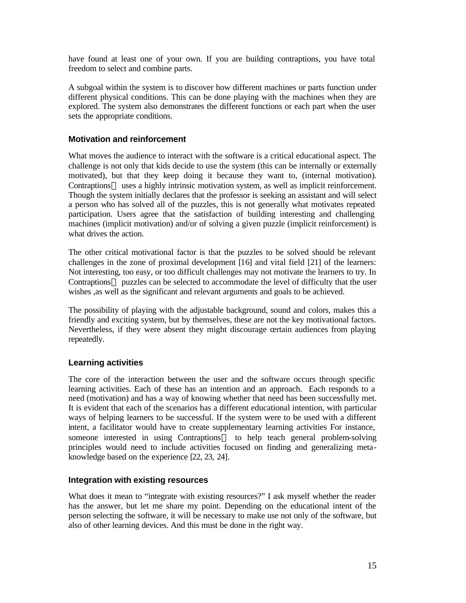have found at least one of your own. If you are building contraptions, you have total freedom to select and combine parts.

A subgoal within the system is to discover how different machines or parts function under different physical conditions. This can be done playing with the machines when they are explored. The system also demonstrates the different functions or each part when the user sets the appropriate conditions.

#### **Motivation and reinforcement**

What moves the audience to interact with the software is a critical educational aspect. The challenge is not only that kids decide to use the system (this can be internally or externally motivated), but that they keep doing it because they want to, (internal motivation). Contraptions<sup>TM</sup> uses a highly intrinsic motivation system, as well as implicit reinforcement. Though the system initially declares that the professor is seeking an assistant and will select a person who has solved all of the puzzles, this is not generally what motivates repeated participation. Users agree that the satisfaction of building interesting and challenging machines (implicit motivation) and/or of solving a given puzzle (implicit reinforcement) is what drives the action.

The other critical motivational factor is that the puzzles to be solved should be relevant challenges in the zone of proximal development [16] and vital field [21] of the learners: Not interesting, too easy, or too difficult challenges may not motivate the learners to try. In Contraptions<sup>TM</sup> puzzles can be selected to accommodate the level of difficulty that the user wishes ,as well as the significant and relevant arguments and goals to be achieved.

The possibility of playing with the adjustable background, sound and colors, makes this a friendly and exciting system, but by themselves, these are not the key motivational factors. Nevertheless, if they were absent they might discourage certain audiences from playing repeatedly.

## **Learning activities**

The core of the interaction between the user and the software occurs through specific learning activities. Each of these has an intention and an approach. Each responds to a need (motivation) and has a way of knowing whether that need has been successfully met. It is evident that each of the scenarios has a different educational intention, with particular ways of helping learners to be successful. If the system were to be used with a different intent, a facilitator would have to create supplementary learning activities For instance, someone interested in using Contraptions<sup>TM</sup> to help teach general problem-solving principles would need to include activities focused on finding and generalizing metaknowledge based on the experience [22, 23, 24].

#### **Integration with existing resources**

What does it mean to "integrate with existing resources?" I ask myself whether the reader has the answer, but let me share my point. Depending on the educational intent of the person selecting the software, it will be necessary to make use not only of the software, but also of other learning devices. And this must be done in the right way.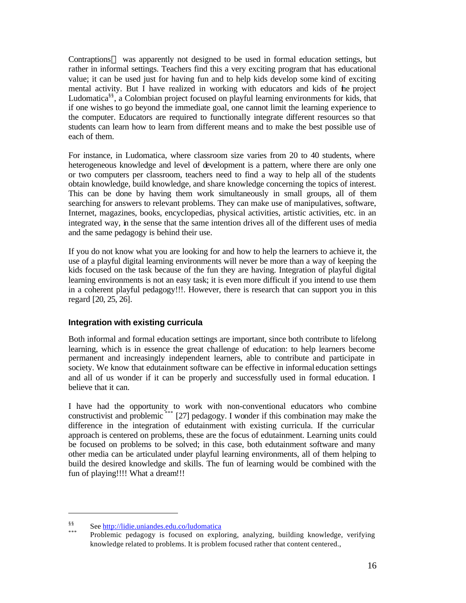Contraptions<sup>TM</sup> was apparently not designed to be used in formal education settings, but rather in informal settings. Teachers find this a very exciting program that has educational value; it can be used just for having fun and to help kids develop some kind of exciting mental activity. But I have realized in working with educators and kids of the project Ludomatica§§, a Colombian project focused on playful learning environments for kids, that if one wishes to go beyond the immediate goal, one cannot limit the learning experience to the computer. Educators are required to functionally integrate different resources so that students can learn how to learn from different means and to make the best possible use of each of them.

For instance, in Ludomatica, where classroom size varies from 20 to 40 students, where heterogeneous knowledge and level of development is a pattern, where there are only one or two computers per classroom, teachers need to find a way to help all of the students obtain knowledge, build knowledge, and share knowledge concerning the topics of interest. This can be done by having them work simultaneously in small groups, all of them searching for answers to relevant problems. They can make use of manipulatives, software, Internet, magazines, books, encyclopedias, physical activities, artistic activities, etc. in an integrated way, in the sense that the same intention drives all of the different uses of media and the same pedagogy is behind their use.

If you do not know what you are looking for and how to help the learners to achieve it, the use of a playful digital learning environments will never be more than a way of keeping the kids focused on the task because of the fun they are having. Integration of playful digital learning environments is not an easy task; it is even more difficult if you intend to use them in a coherent playful pedagogy!!!. However, there is research that can support you in this regard [20, 25, 26].

## **Integration with existing curricula**

Both informal and formal education settings are important, since both contribute to lifelong learning, which is in essence the great challenge of education: to help learners become permanent and increasingly independent learners, able to contribute and participate in society. We know that edutainment software can be effective in informal education settings and all of us wonder if it can be properly and successfully used in formal education. I believe that it can.

I have had the opportunity to work with non-conventional educators who combine constructivist and problemic \*\*\* [27] pedagogy. I wonder if this combination may make the difference in the integration of edutainment with existing curricula. If the curricular approach is centered on problems, these are the focus of edutainment. Learning units could be focused on problems to be solved; in this case, both edutainment software and many other media can be articulated under playful learning environments, all of them helping to build the desired knowledge and skills. The fun of learning would be combined with the fun of playing!!!! What a dream!!!

 $\overline{a}$ 

<sup>§§</sup> See http://lidie.uniandes.edu.co/ludomatica

Problemic pedagogy is focused on exploring, analyzing, building knowledge, verifying knowledge related to problems. It is problem focused rather that content centered.,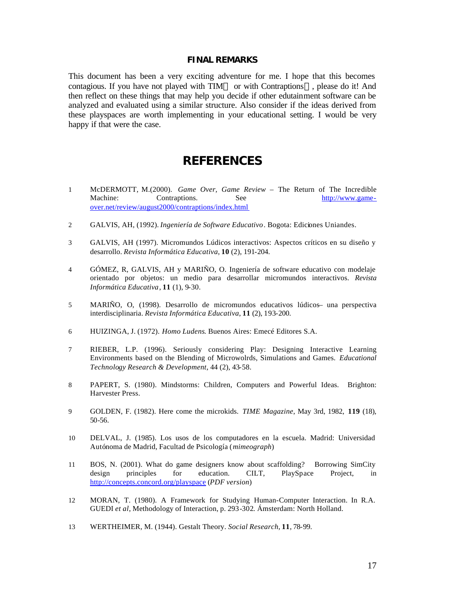#### **FINAL REMARKS**

This document has been a very exciting adventure for me. I hope that this becomes contagious. If you have not played with TIM<sup>TM</sup> or with Contraptions<sup>TM</sup>, please do it! And then reflect on these things that may help you decide if other edutainment software can be analyzed and evaluated using a similar structure. Also consider if the ideas derived from these playspaces are worth implementing in your educational setting. I would be very happy if that were the case.

# **REFERENCES**

- 1 McDERMOTT, M.(2000). *Game Over, Game Review* The Return of The Incredible Machine: Contraptions. See http://www.gameover.net/review/august2000/contraptions/index.html
- 2 GALVIS, AH, (1992). *Ingeniería de Software Educativo*. Bogota: Ediciones Uniandes.
- 3 GALVIS, AH (1997). Micromundos Lúdicos interactivos: Aspectos críticos en su diseño y desarrollo. *Revista Informática Educativa*, **10** (2), 191-204.
- 4 GÓMEZ, R, GALVIS, AH y MARIÑO, O. Ingeniería de software educativo con modelaje orientado por objetos: un medio para desarrollar micromundos interactivos. *Revista Informática Educativa*, **11** (1), 9-30.
- 5 MARIÑO, O, (1998). Desarrollo de micromundos educativos lúdicos– una perspectiva interdisciplinaria. *Revista Informática Educativa*, **11** (2), 193-200.
- 6 HUIZINGA, J. (1972). *Homo Ludens*. Buenos Aires: Emecé Editores S.A.
- 7 RIEBER, L.P. (1996). Seriously considering Play: Designing Interactive Learning Environments based on the Blending of Microwolrds, Simulations and Games. *Educational Technology Research & Development*, 44 (2), 43-58.
- 8 PAPERT, S. (1980). Mindstorms: Children, Computers and Powerful Ideas. Brighton: Harvester Press.
- 9 GOLDEN, F. (1982). Here come the microkids. *TIME Magazine*, May 3rd, 1982, **119** (18), 50-56.
- 10 DELVAL, J. (1985). Los usos de los computadores en la escuela. Madrid: Universidad Autónoma de Madrid, Facultad de Psicología (*mimeograph*)
- 11 BOS, N. (2001). What do game designers know about scaffolding? Borrowing SimCity design principles for education. CILT, PlaySpace Project, in design principles for education. CILT, PlaySpace Project, in http://concepts.concord.org/playspace (*PDF version*)
- 12 MORAN, T. (1980). A Framework for Studying Human-Computer Interaction. In R.A. GUEDI *et al*, Methodology of Interaction, p. 293-302. Ámsterdam: North Holland.
- 13 WERTHEIMER, M. (1944). Gestalt Theory. *Social Research*, **11**, 78-99.